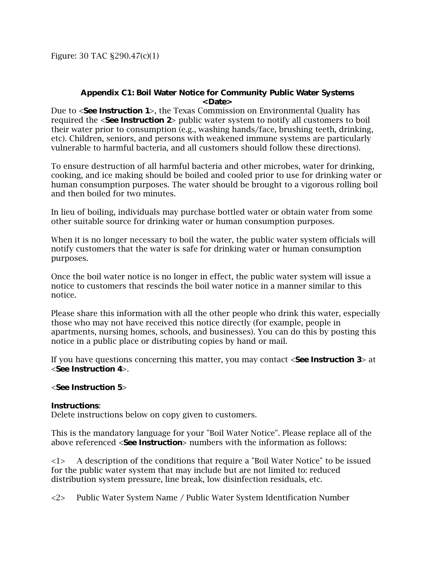Figure: 30 TAC §290.47(c)(1)

## **Appendix C1: Boil Water Notice for Community Public Water Systems <Date>**

Due to <**See Instruction 1**>, the Texas Commission on Environmental Quality has required the <**See Instruction 2**> public water system to notify all customers to boil their water prior to consumption (e.g., washing hands/face, brushing teeth, drinking, etc). Children, seniors, and persons with weakened immune systems are particularly vulnerable to harmful bacteria, and all customers should follow these directions).

To ensure destruction of all harmful bacteria and other microbes, water for drinking, cooking, and ice making should be boiled and cooled prior to use for drinking water or human consumption purposes. The water should be brought to a vigorous rolling boil and then boiled for two minutes.

In lieu of boiling, individuals may purchase bottled water or obtain water from some other suitable source for drinking water or human consumption purposes.

When it is no longer necessary to boil the water, the public water system officials will notify customers that the water is safe for drinking water or human consumption purposes.

Once the boil water notice is no longer in effect, the public water system will issue a notice to customers that rescinds the boil water notice in a manner similar to this notice.

Please share this information with all the other people who drink this water, especially those who may not have received this notice directly (for example, people in apartments, nursing homes, schools, and businesses). You can do this by posting this notice in a public place or distributing copies by hand or mail.

If you have questions concerning this matter, you may contact <**See Instruction 3**> at <**See Instruction 4**>.

## <**See Instruction 5**>

## **Instructions**:

Delete instructions below on copy given to customers.

This is the mandatory language for your "Boil Water Notice". Please replace all of the above referenced <**See Instruction**> numbers with the information as follows:

<1> A description of the conditions that require a "Boil Water Notice" to be issued for the public water system that may include but are not limited to: reduced distribution system pressure, line break, low disinfection residuals, etc.

<2> Public Water System Name / Public Water System Identification Number